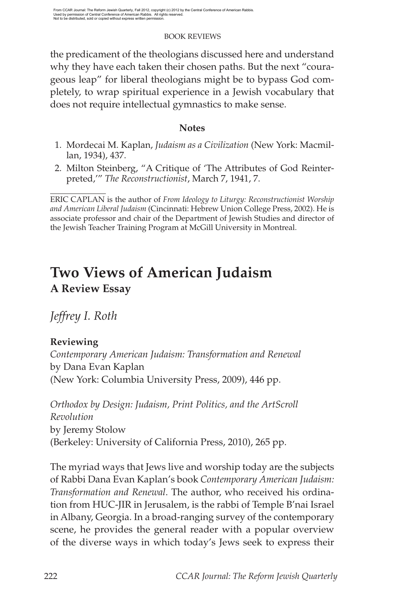the predicament of the theologians discussed here and understand why they have each taken their chosen paths. But the next "courageous leap" for liberal theologians might be to bypass God completely, to wrap spiritual experience in a Jewish vocabulary that does not require intellectual gymnastics to make sense.

# **Notes**

- 1. Mordecai M. Kaplan, *Judaism as a Civilization* (New York: Macmillan, 1934), 437.
- 2. Milton Steinberg, "A Critique of 'The Attributes of God Reinterpreted,'" *The Reconstructionist*, March 7, 1941, 7.

# **Two Views of American Judaism A Review Essay**

*Jeffrey I. Roth*

# **Reviewing**

*Contemporary American Judaism: Transformation and Renewal* by Dana Evan Kaplan (New York: Columbia University Press, 2009), 446 pp.

*Orthodox by Design: Judaism, Print Politics, and the ArtScroll Revolution* by Jeremy Stolow (Berkeley: University of California Press, 2010), 265 pp.

The myriad ways that Jews live and worship today are the subjects of Rabbi Dana Evan Kaplan's book *Contemporary American Judaism: Transformation and Renewal*. The author, who received his ordination from HUC-JIR in Jerusalem, is the rabbi of Temple B'nai Israel in Albany, Georgia. In a broad-ranging survey of the contemporary scene, he provides the general reader with a popular overview of the diverse ways in which today's Jews seek to express their

ERIC CAPLAN is the author of *From Ideology to Liturgy: Reconstructionist Worship and American Liberal Judaism* (Cincinnati: Hebrew Union College Press, 2002). He is associate professor and chair of the Department of Jewish Studies and director of the Jewish Teacher Training Program at McGill University in Montreal.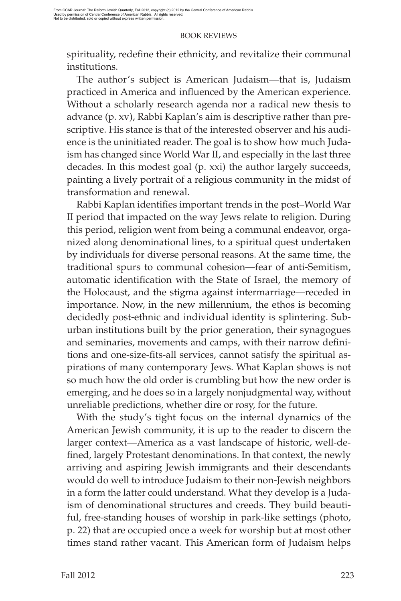spirituality, redefine their ethnicity, and revitalize their communal institutions.

The author's subject is American Judaism—that is, Judaism practiced in America and influenced by the American experience. Without a scholarly research agenda nor a radical new thesis to advance (p. xv), Rabbi Kaplan's aim is descriptive rather than prescriptive. His stance is that of the interested observer and his audience is the uninitiated reader. The goal is to show how much Judaism has changed since World War II, and especially in the last three decades. In this modest goal (p. xxi) the author largely succeeds, painting a lively portrait of a religious community in the midst of transformation and renewal.

Rabbi Kaplan identifies important trends in the post-World War II period that impacted on the way Jews relate to religion. During this period, religion went from being a communal endeavor, organized along denominational lines, to a spiritual quest undertaken by individuals for diverse personal reasons. At the same time, the traditional spurs to communal cohesion—fear of anti-Semitism, automatic identification with the State of Israel, the memory of the Holocaust, and the stigma against intermarriage—receded in importance. Now, in the new millennium, the ethos is becoming decidedly post-ethnic and individual identity is splintering. Suburban institutions built by the prior generation, their synagogues and seminaries, movements and camps, with their narrow definitions and one-size-fits-all services, cannot satisfy the spiritual aspirations of many contemporary Jews. What Kaplan shows is not so much how the old order is crumbling but how the new order is emerging, and he does so in a largely nonjudgmental way, without unreliable predictions, whether dire or rosy, for the future.

With the study's tight focus on the internal dynamics of the American Jewish community, it is up to the reader to discern the larger context—America as a vast landscape of historic, well-defined, largely Protestant denominations. In that context, the newly arriving and aspiring Jewish immigrants and their descendants would do well to introduce Judaism to their non-Jewish neighbors in a form the latter could understand. What they develop is a Judaism of denominational structures and creeds. They build beautiful, free-standing houses of worship in park-like settings (photo, p. 22) that are occupied once a week for worship but at most other times stand rather vacant. This American form of Judaism helps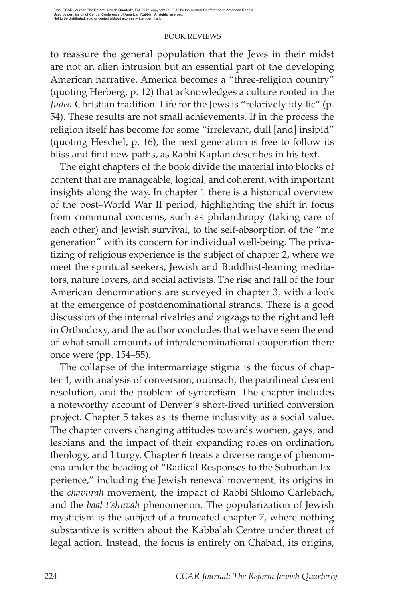to reassure the general population that the Jews in their midst are not an alien intrusion but an essential part of the developing American narrative. America becomes a "three-religion country" (quoting Herberg, p. 12) that acknowledges a culture rooted in the *Judeo*-Christian tradition. Life for the Jews is "relatively idyllic" (p. 54). These results are not small achievements. If in the process the religion itself has become for some "irrelevant, dull [and] insipid" (quoting Heschel, p. 16), the next generation is free to follow its bliss and find new paths, as Rabbi Kaplan describes in his text.

The eight chapters of the book divide the material into blocks of content that are manageable, logical, and coherent, with important insights along the way. In chapter 1 there is a historical overview of the post–World War II period, highlighting the shift in focus from communal concerns, such as philanthropy (taking care of each other) and Jewish survival, to the self-absorption of the "me generation" with its concern for individual well-being. The privatizing of religious experience is the subject of chapter 2, where we meet the spiritual seekers, Jewish and Buddhist-leaning meditators, nature lovers, and social activists. The rise and fall of the four American denominations are surveyed in chapter 3, with a look at the emergence of postdenominational strands. There is a good discussion of the internal rivalries and zigzags to the right and left in Orthodoxy, and the author concludes that we have seen the end of what small amounts of interdenominational cooperation there once were (pp. 154–55).

The collapse of the intermarriage stigma is the focus of chapter 4, with analysis of conversion, outreach, the patrilineal descent resolution, and the problem of syncretism. The chapter includes a noteworthy account of Denver's short-lived unified conversion project. Chapter 5 takes as its theme inclusivity as a social value. The chapter covers changing attitudes towards women, gays, and lesbians and the impact of their expanding roles on ordination, theology, and liturgy. Chapter 6 treats a diverse range of phenomena under the heading of "Radical Responses to the Suburban Experience," including the Jewish renewal movement, its origins in the *chavurah* movement, the impact of Rabbi Shlomo Carlebach, and the *baal t'shuvah* phenomenon. The popularization of Jewish mysticism is the subject of a truncated chapter 7, where nothing substantive is written about the Kabbalah Centre under threat of legal action. Instead, the focus is entirely on Chabad, its origins,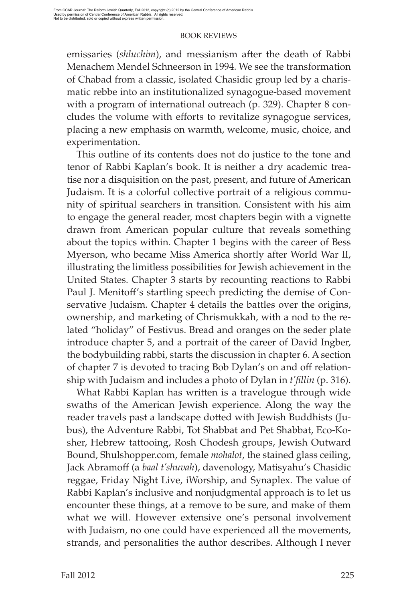emissaries (*shluchim*), and messianism after the death of Rabbi Menachem Mendel Schneerson in 1994. We see the transformation of Chabad from a classic, isolated Chasidic group led by a charismatic rebbe into an institutionalized synagogue-based movement with a program of international outreach (p. 329). Chapter 8 concludes the volume with efforts to revitalize synagogue services, placing a new emphasis on warmth, welcome, music, choice, and experimentation.

This outline of its contents does not do justice to the tone and tenor of Rabbi Kaplan's book. It is neither a dry academic treatise nor a disquisition on the past, present, and future of American Judaism. It is a colorful collective portrait of a religious community of spiritual searchers in transition. Consistent with his aim to engage the general reader, most chapters begin with a vignette drawn from American popular culture that reveals something about the topics within. Chapter 1 begins with the career of Bess Myerson, who became Miss America shortly after World War II, illustrating the limitless possibilities for Jewish achievement in the United States. Chapter 3 starts by recounting reactions to Rabbi Paul J. Menitoff's startling speech predicting the demise of Conservative Judaism. Chapter 4 details the battles over the origins, ownership, and marketing of Chrismukkah, with a nod to the related "holiday" of Festivus. Bread and oranges on the seder plate introduce chapter 5, and a portrait of the career of David Ingber, the bodybuilding rabbi, starts the discussion in chapter 6. A section of chapter 7 is devoted to tracing Bob Dylan's on and off relationship with Judaism and includes a photo of Dylan in *t'fillin* (p. 316).

What Rabbi Kaplan has written is a travelogue through wide swaths of the American Jewish experience. Along the way the reader travels past a landscape dotted with Jewish Buddhists (Jubus), the Adventure Rabbi, Tot Shabbat and Pet Shabbat, Eco-Kosher, Hebrew tattooing, Rosh Chodesh groups, Jewish Outward Bound, Shulshopper.com, female *mohalot*, the stained glass ceiling, Jack Abramoff (a *baal t'shuvah*), davenology, Matisyahu's Chasidic reggae, Friday Night Live, iWorship, and Synaplex. The value of Rabbi Kaplan's inclusive and nonjudgmental approach is to let us encounter these things, at a remove to be sure, and make of them what we will. However extensive one's personal involvement with Judaism, no one could have experienced all the movements, strands, and personalities the author describes. Although I never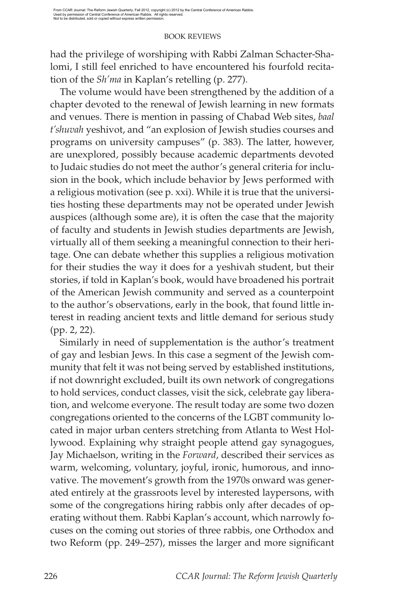had the privilege of worshiping with Rabbi Zalman Schacter-Shalomi, I still feel enriched to have encountered his fourfold recitation of the *Sh'ma* in Kaplan's retelling (p. 277).

The volume would have been strengthened by the addition of a chapter devoted to the renewal of Jewish learning in new formats and venues. There is mention in passing of Chabad Web sites, *baal t'shuvah* yeshivot, and "an explosion of Jewish studies courses and programs on university campuses" (p. 383). The latter, however, are unexplored, possibly because academic departments devoted to Judaic studies do not meet the author's general criteria for inclusion in the book, which include behavior by Jews performed with a religious motivation (see p. xxi). While it is true that the universities hosting these departments may not be operated under Jewish auspices (although some are), it is often the case that the majority of faculty and students in Jewish studies departments are Jewish, virtually all of them seeking a meaningful connection to their heritage. One can debate whether this supplies a religious motivation for their studies the way it does for a yeshivah student, but their stories, if told in Kaplan's book, would have broadened his portrait of the American Jewish community and served as a counterpoint to the author's observations, early in the book, that found little interest in reading ancient texts and little demand for serious study (pp. 2, 22).

Similarly in need of supplementation is the author's treatment of gay and lesbian Jews. In this case a segment of the Jewish community that felt it was not being served by established institutions, if not downright excluded, built its own network of congregations to hold services, conduct classes, visit the sick, celebrate gay liberation, and welcome everyone. The result today are some two dozen congregations oriented to the concerns of the LGBT community located in major urban centers stretching from Atlanta to West Hollywood. Explaining why straight people attend gay synagogues, Jay Michaelson, writing in the *Forward*, described their services as warm, welcoming, voluntary, joyful, ironic, humorous, and innovative. The movement's growth from the 1970s onward was generated entirely at the grassroots level by interested laypersons, with some of the congregations hiring rabbis only after decades of operating without them. Rabbi Kaplan's account, which narrowly focuses on the coming out stories of three rabbis, one Orthodox and two Reform (pp. 249–257), misses the larger and more significant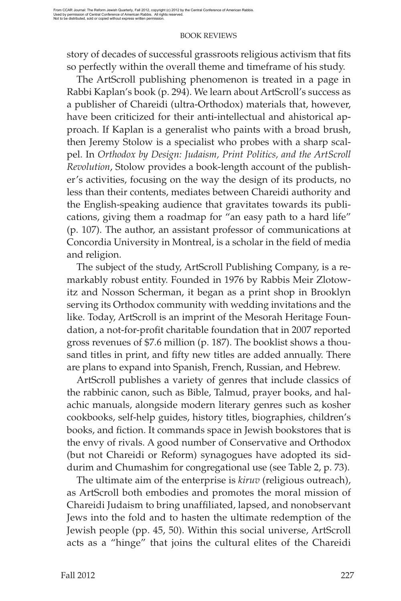story of decades of successful grassroots religious activism that fits so perfectly within the overall theme and timeframe of his study.

The ArtScroll publishing phenomenon is treated in a page in Rabbi Kaplan's book (p. 294). We learn about ArtScroll's success as a publisher of Chareidi (ultra-Orthodox) materials that, however, have been criticized for their anti-intellectual and ahistorical approach. If Kaplan is a generalist who paints with a broad brush, then Jeremy Stolow is a specialist who probes with a sharp scalpel. In *Orthodox by Design: Judaism, Print Politics, and the ArtScroll Revolution*, Stolow provides a book-length account of the publisher's activities, focusing on the way the design of its products, no less than their contents, mediates between Chareidi authority and the English-speaking audience that gravitates towards its publications, giving them a roadmap for "an easy path to a hard life" (p. 107). The author, an assistant professor of communications at Concordia University in Montreal, is a scholar in the field of media and religion.

The subject of the study, ArtScroll Publishing Company, is a remarkably robust entity. Founded in 1976 by Rabbis Meir Zlotowitz and Nosson Scherman, it began as a print shop in Brooklyn serving its Orthodox community with wedding invitations and the like. Today, ArtScroll is an imprint of the Mesorah Heritage Foundation, a not-for-profit charitable foundation that in 2007 reported gross revenues of \$7.6 million (p. 187). The booklist shows a thousand titles in print, and fifty new titles are added annually. There are plans to expand into Spanish, French, Russian, and Hebrew.

ArtScroll publishes a variety of genres that include classics of the rabbinic canon, such as Bible, Talmud, prayer books, and halachic manuals, alongside modern literary genres such as kosher cookbooks, self-help guides, history titles, biographies, children's books, and fiction. It commands space in Jewish bookstores that is the envy of rivals. A good number of Conservative and Orthodox (but not Chareidi or Reform) synagogues have adopted its siddurim and Chumashim for congregational use (see Table 2, p. 73).

The ultimate aim of the enterprise is *kiruv* (religious outreach), as ArtScroll both embodies and promotes the moral mission of Chareidi Judaism to bring unaffiliated, lapsed, and nonobservant Jews into the fold and to hasten the ultimate redemption of the Jewish people (pp. 45, 50). Within this social universe, ArtScroll acts as a "hinge" that joins the cultural elites of the Chareidi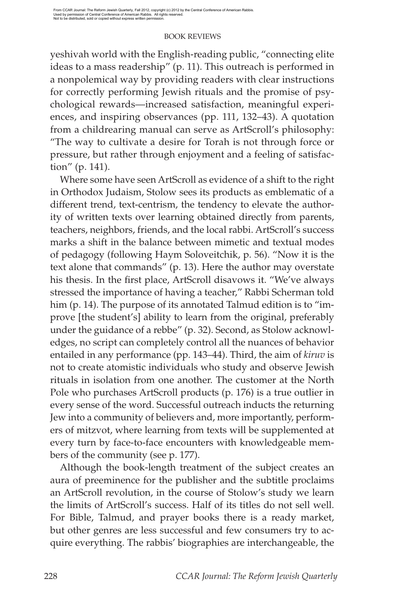yeshivah world with the English-reading public, "connecting elite ideas to a mass readership" (p. 11). This outreach is performed in a nonpolemical way by providing readers with clear instructions for correctly performing Jewish rituals and the promise of psychological rewards—increased satisfaction, meaningful experiences, and inspiring observances (pp. 111, 132–43). A quotation from a childrearing manual can serve as ArtScroll's philosophy: "The way to cultivate a desire for Torah is not through force or pressure, but rather through enjoyment and a feeling of satisfaction" (p. 141).

Where some have seen ArtScroll as evidence of a shift to the right in Orthodox Judaism, Stolow sees its products as emblematic of a different trend, text-centrism, the tendency to elevate the authority of written texts over learning obtained directly from parents, teachers, neighbors, friends, and the local rabbi. ArtScroll's success marks a shift in the balance between mimetic and textual modes of pedagogy (following Haym Soloveitchik, p. 56). "Now it is the text alone that commands" (p. 13). Here the author may overstate his thesis. In the first place, ArtScroll disavows it. "We've always stressed the importance of having a teacher," Rabbi Scherman told him (p. 14). The purpose of its annotated Talmud edition is to "improve [the student's] ability to learn from the original, preferably under the guidance of a rebbe" (p. 32). Second, as Stolow acknowledges, no script can completely control all the nuances of behavior entailed in any performance (pp. 143–44). Third, the aim of *kiruv* is not to create atomistic individuals who study and observe Jewish rituals in isolation from one another. The customer at the North Pole who purchases ArtScroll products (p. 176) is a true outlier in every sense of the word. Successful outreach inducts the returning Jew into a community of believers and, more importantly, performers of mitzvot, where learning from texts will be supplemented at every turn by face-to-face encounters with knowledgeable members of the community (see p. 177).

Although the book-length treatment of the subject creates an aura of preeminence for the publisher and the subtitle proclaims an ArtScroll revolution, in the course of Stolow's study we learn the limits of ArtScroll's success. Half of its titles do not sell well. For Bible, Talmud, and prayer books there is a ready market, but other genres are less successful and few consumers try to acquire everything. The rabbis' biographies are interchangeable, the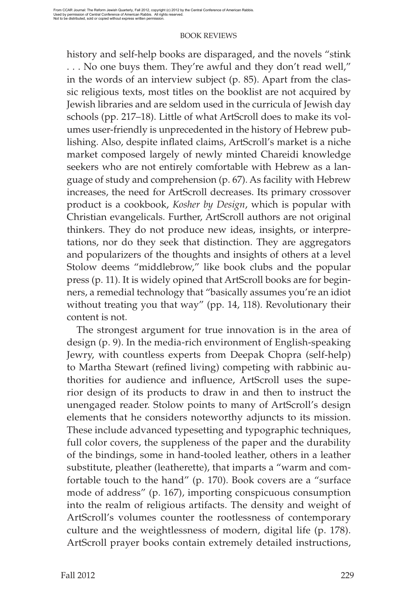history and self-help books are disparaged, and the novels "stink . . . No one buys them. They're awful and they don't read well," in the words of an interview subject (p. 85). Apart from the classic religious texts, most titles on the booklist are not acquired by Jewish libraries and are seldom used in the curricula of Jewish day schools (pp. 217–18). Little of what ArtScroll does to make its volumes user-friendly is unprecedented in the history of Hebrew publishing. Also, despite inflated claims, ArtScroll's market is a niche market composed largely of newly minted Chareidi knowledge seekers who are not entirely comfortable with Hebrew as a language of study and comprehension (p. 67). As facility with Hebrew increases, the need for ArtScroll decreases. Its primary crossover product is a cookbook, *Kosher by Design*, which is popular with Christian evangelicals. Further, ArtScroll authors are not original thinkers. They do not produce new ideas, insights, or interpretations, nor do they seek that distinction. They are aggregators and popularizers of the thoughts and insights of others at a level Stolow deems "middlebrow," like book clubs and the popular press (p. 11). It is widely opined that ArtScroll books are for beginners, a remedial technology that "basically assumes you're an idiot without treating you that way" (pp. 14, 118). Revolutionary their content is not.

The strongest argument for true innovation is in the area of design (p. 9). In the media-rich environment of English-speaking Jewry, with countless experts from Deepak Chopra (self-help) to Martha Stewart (refined living) competing with rabbinic authorities for audience and influence, ArtScroll uses the superior design of its products to draw in and then to instruct the unengaged reader. Stolow points to many of ArtScroll's design elements that he considers noteworthy adjuncts to its mission. These include advanced typesetting and typographic techniques, full color covers, the suppleness of the paper and the durability of the bindings, some in hand-tooled leather, others in a leather substitute, pleather (leatherette), that imparts a "warm and comfortable touch to the hand" (p. 170). Book covers are a "surface mode of address" (p. 167), importing conspicuous consumption into the realm of religious artifacts. The density and weight of ArtScroll's volumes counter the rootlessness of contemporary culture and the weightlessness of modern, digital life (p. 178). ArtScroll prayer books contain extremely detailed instructions,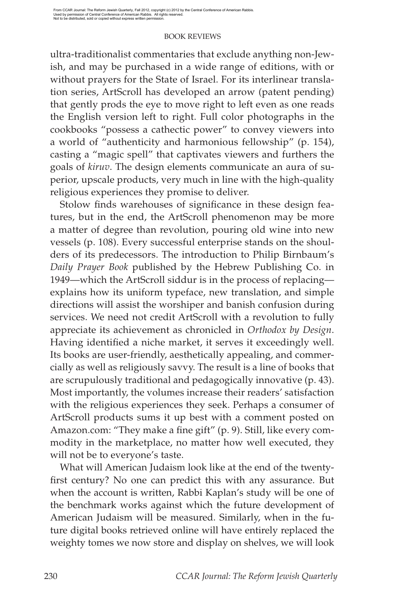ultra-traditionalist commentaries that exclude anything non-Jewish, and may be purchased in a wide range of editions, with or without prayers for the State of Israel. For its interlinear translation series, ArtScroll has developed an arrow (patent pending) that gently prods the eye to move right to left even as one reads the English version left to right. Full color photographs in the cookbooks "possess a cathectic power" to convey viewers into a world of "authenticity and harmonious fellowship" (p. 154), casting a "magic spell" that captivates viewers and furthers the goals of *kiruv*. The design elements communicate an aura of superior, upscale products, very much in line with the high-quality religious experiences they promise to deliver.

Stolow finds warehouses of significance in these design features, but in the end, the ArtScroll phenomenon may be more a matter of degree than revolution, pouring old wine into new vessels (p. 108). Every successful enterprise stands on the shoulders of its predecessors. The introduction to Philip Birnbaum's *Daily Prayer Book* published by the Hebrew Publishing Co. in 1949—which the ArtScroll siddur is in the process of replacing explains how its uniform typeface, new translation, and simple directions will assist the worshiper and banish confusion during services. We need not credit ArtScroll with a revolution to fully appreciate its achievement as chronicled in *Orthodox by Design*. Having identified a niche market, it serves it exceedingly well. Its books are user-friendly, aesthetically appealing, and commercially as well as religiously savvy. The result is a line of books that are scrupulously traditional and pedagogically innovative (p. 43). Most importantly, the volumes increase their readers' satisfaction with the religious experiences they seek. Perhaps a consumer of ArtScroll products sums it up best with a comment posted on Amazon.com: "They make a fine gift" (p. 9). Still, like every commodity in the marketplace, no matter how well executed, they will not be to everyone's taste.

What will American Judaism look like at the end of the twentyfirst century? No one can predict this with any assurance. But when the account is written, Rabbi Kaplan's study will be one of the benchmark works against which the future development of American Judaism will be measured. Similarly, when in the future digital books retrieved online will have entirely replaced the weighty tomes we now store and display on shelves, we will look